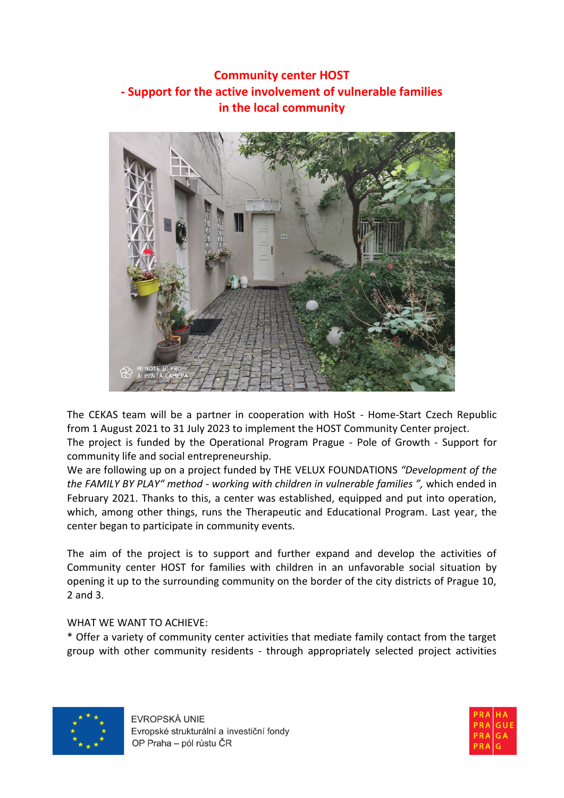## **Community center HOST - Support for the active involvement of vulnerable families in the local community**



The CEKAS team will be a partner in cooperation with HoSt - Home-Start Czech Republic from 1 August 2021 to 31 July 2023 to implement the HOST Community Center project.

The project is funded by the Operational Program Prague - Pole of Growth - Support for community life and social entrepreneurship.

We are following up on a project funded by THE VELUX FOUNDATIONS *"Development of the the FAMILY BY PLAY" method - working with children in vulnerable families ",* which ended in February 2021. Thanks to this, a center was established, equipped and put into operation, which, among other things, runs the Therapeutic and Educational Program. Last year, the center began to participate in community events.

The aim of the project is to support and further expand and develop the activities of Community center HOST for families with children in an unfavorable social situation by opening it up to the surrounding community on the border of the city districts of Prague 10, 2 and 3.

## WHAT WE WANT TO ACHIEVE:

\* Offer a variety of community center activities that mediate family contact from the target group with other community residents - through appropriately selected project activities